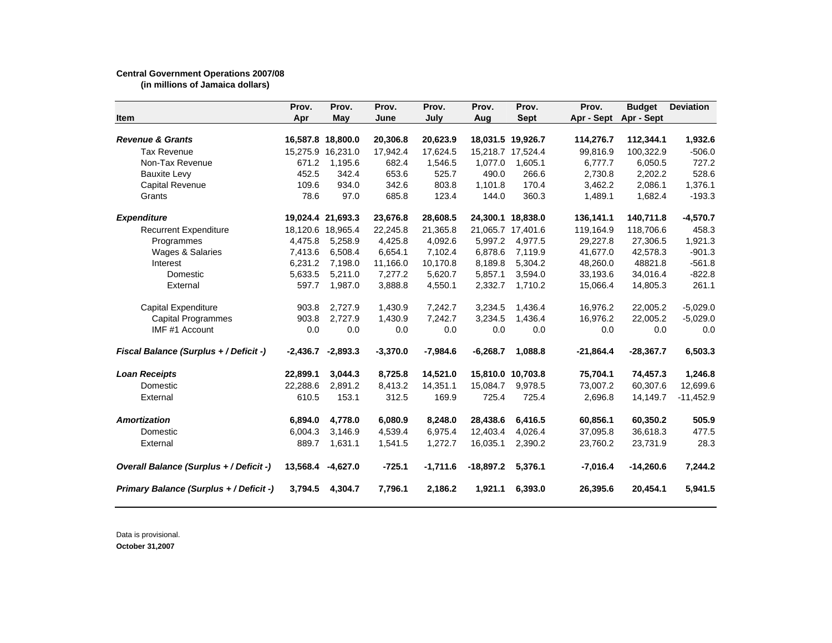## **Central Government Operations 2007/08**

**(in millions of Jamaica dollars)**

| Item                                    | Prov.<br>Apr | Prov.<br>May      | Prov.<br>June | Prov.<br>July | Prov.<br>Aug | Prov.<br><b>Sept</b> | Prov.<br>Apr - Sept | <b>Budget</b><br>Apr - Sept | <b>Deviation</b> |
|-----------------------------------------|--------------|-------------------|---------------|---------------|--------------|----------------------|---------------------|-----------------------------|------------------|
| <b>Revenue &amp; Grants</b>             |              | 16,587.8 18,800.0 | 20,306.8      | 20,623.9      |              | 18,031.5 19,926.7    | 114,276.7           | 112,344.1                   | 1,932.6          |
| <b>Tax Revenue</b>                      | 15,275.9     | 16,231.0          | 17,942.4      | 17,624.5      |              | 15,218.7 17,524.4    | 99,816.9            | 100,322.9                   | $-506.0$         |
| Non-Tax Revenue                         | 671.2        | 1,195.6           | 682.4         | 1,546.5       | 1,077.0      | 1,605.1              | 6,777.7             | 6,050.5                     | 727.2            |
| <b>Bauxite Levy</b>                     | 452.5        | 342.4             | 653.6         | 525.7         | 490.0        | 266.6                | 2,730.8             | 2,202.2                     | 528.6            |
| Capital Revenue                         | 109.6        | 934.0             | 342.6         | 803.8         | 1,101.8      | 170.4                | 3,462.2             | 2,086.1                     | 1,376.1          |
| Grants                                  | 78.6         | 97.0              | 685.8         | 123.4         | 144.0        | 360.3                | 1,489.1             | 1,682.4                     | $-193.3$         |
|                                         |              |                   |               |               |              |                      |                     |                             |                  |
| <b>Expenditure</b>                      |              | 19,024.4 21,693.3 | 23,676.8      | 28,608.5      |              | 24,300.1 18,838.0    | 136,141.1           | 140,711.8                   | $-4,570.7$       |
| <b>Recurrent Expenditure</b>            |              | 18,120.6 18,965.4 | 22,245.8      | 21,365.8      |              | 21,065.7 17,401.6    | 119,164.9           | 118,706.6                   | 458.3            |
| Programmes                              | 4,475.8      | 5,258.9           | 4,425.8       | 4,092.6       | 5,997.2      | 4,977.5              | 29,227.8            | 27,306.5                    | 1,921.3          |
| Wages & Salaries                        | 7,413.6      | 6,508.4           | 6,654.1       | 7,102.4       | 6.878.6      | 7,119.9              | 41,677.0            | 42,578.3                    | $-901.3$         |
| Interest                                | 6,231.2      | 7,198.0           | 11,166.0      | 10,170.8      | 8,189.8      | 5,304.2              | 48,260.0            | 48821.8                     | $-561.8$         |
| Domestic                                | 5,633.5      | 5,211.0           | 7,277.2       | 5,620.7       | 5,857.1      | 3,594.0              | 33,193.6            | 34,016.4                    | $-822.8$         |
| External                                | 597.7        | 1,987.0           | 3,888.8       | 4,550.1       | 2,332.7      | 1,710.2              | 15,066.4            | 14,805.3                    | 261.1            |
| Capital Expenditure                     | 903.8        | 2.727.9           | 1,430.9       | 7,242.7       | 3.234.5      | 1.436.4              | 16.976.2            | 22.005.2                    | $-5.029.0$       |
| <b>Capital Programmes</b>               | 903.8        | 2,727.9           | 1,430.9       | 7,242.7       | 3,234.5      | 1,436.4              | 16,976.2            | 22,005.2                    | $-5,029.0$       |
| IMF #1 Account                          | 0.0          | 0.0               | 0.0           | 0.0           | 0.0          | 0.0                  | 0.0                 | 0.0                         | 0.0              |
| Fiscal Balance (Surplus + / Deficit -)  | $-2.436.7$   | $-2,893.3$        | $-3,370.0$    | $-7,984.6$    | $-6,268.7$   | 1,088.8              | $-21,864.4$         | $-28,367.7$                 | 6,503.3          |
| <b>Loan Receipts</b>                    | 22,899.1     | 3,044.3           | 8,725.8       | 14,521.0      |              | 15,810.0 10,703.8    | 75,704.1            | 74,457.3                    | 1,246.8          |
| Domestic                                | 22,288.6     | 2,891.2           | 8,413.2       | 14,351.1      | 15,084.7     | 9,978.5              | 73,007.2            | 60,307.6                    | 12,699.6         |
| External                                | 610.5        | 153.1             | 312.5         | 169.9         | 725.4        | 725.4                | 2,696.8             | 14,149.7                    | $-11,452.9$      |
| <b>Amortization</b>                     | 6,894.0      | 4,778.0           | 6,080.9       | 8,248.0       | 28,438.6     | 6,416.5              | 60,856.1            | 60,350.2                    | 505.9            |
| Domestic                                | 6,004.3      | 3,146.9           | 4,539.4       | 6,975.4       | 12,403.4     | 4,026.4              | 37,095.8            | 36,618.3                    | 477.5            |
| External                                | 889.7        | 1,631.1           | 1,541.5       | 1,272.7       | 16,035.1     | 2,390.2              | 23,760.2            | 23,731.9                    | 28.3             |
| Overall Balance (Surplus + / Deficit -) | 13,568.4     | $-4,627.0$        | $-725.1$      | $-1,711.6$    | $-18,897.2$  | 5,376.1              | $-7,016.4$          | $-14,260.6$                 | 7,244.2          |
| Primary Balance (Surplus + / Deficit -) | 3,794.5      | 4,304.7           | 7,796.1       | 2,186.2       | 1,921.1      | 6,393.0              | 26,395.6            | 20,454.1                    | 5,941.5          |

Data is provisional.

**October 31,2007**